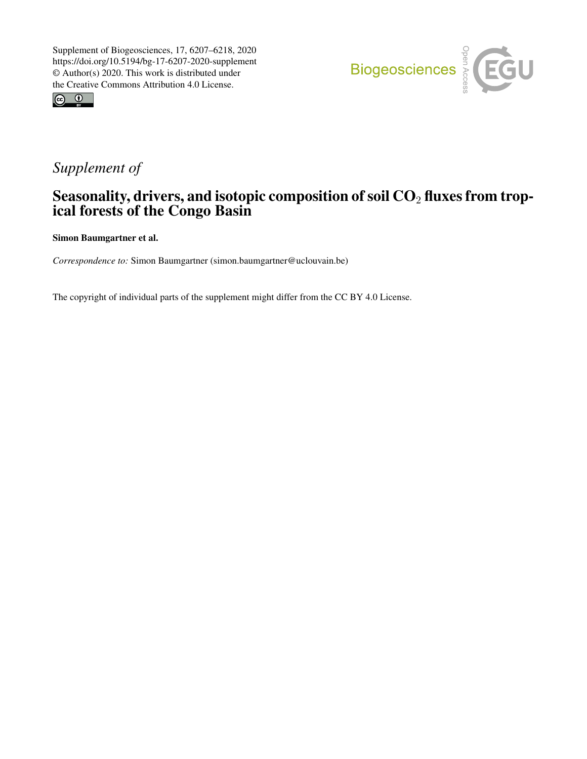



# *Supplement of*

## Seasonality, drivers, and isotopic composition of soil  $CO<sub>2</sub>$  fluxes from tropical forests of the Congo Basin

Simon Baumgartner et al.

*Correspondence to:* Simon Baumgartner (simon.baumgartner@uclouvain.be)

The copyright of individual parts of the supplement might differ from the CC BY 4.0 License.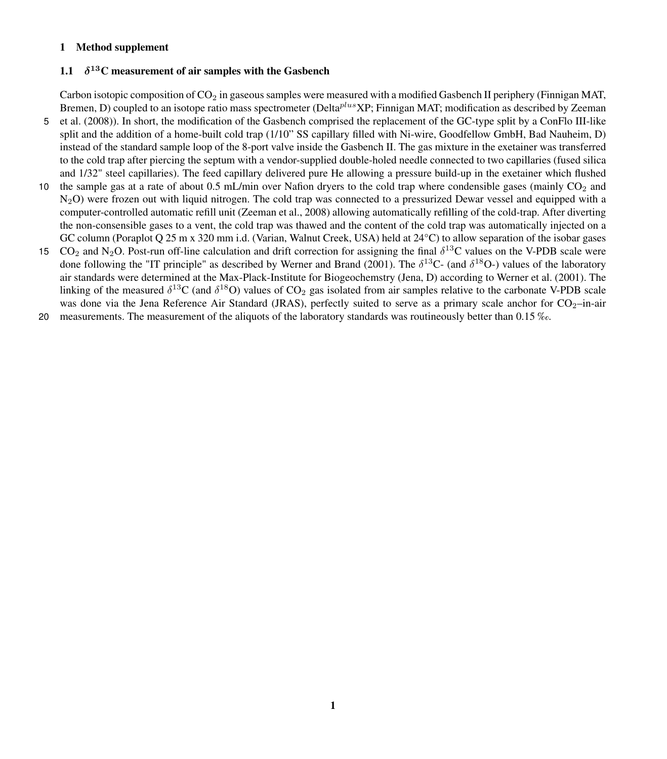### 1 Method supplement

#### $1.1$  $\delta^{13}$ C measurement of air samples with the Gasbench

Carbon isotopic composition of  $CO<sub>2</sub>$  in gaseous samples were measured with a modified Gasbench II periphery (Finnigan MAT, [B](#page-5-0)remen, D) coupled to an isotope ratio mass spectrometer (Delta $^{plus}XP$ ; Finnigan MAT; modification as described by [Zeeman](#page-5-0) 5 [et al.](#page-5-0) [\(2008\)](#page-5-0)). In short, the modification of the Gasbench comprised the replacement of the GC-type split by a ConFlo III-like

- split and the addition of a home-built cold trap (1/10" SS capillary filled with Ni-wire, Goodfellow GmbH, Bad Nauheim, D) instead of the standard sample loop of the 8-port valve inside the Gasbench II. The gas mixture in the exetainer was transferred to the cold trap after piercing the septum with a vendor-supplied double-holed needle connected to two capillaries (fused silica and 1/32" steel capillaries). The feed capillary delivered pure He allowing a pressure build-up in the exetainer which flushed
- 10 the sample gas at a rate of about 0.5 mL/min over Nafion dryers to the cold trap where condensible gases (mainly  $CO<sub>2</sub>$  and  $N_2$ O) were frozen out with liquid nitrogen. The cold trap was connected to a pressurized Dewar vessel and equipped with a computer-controlled automatic refill unit [\(Zeeman et al., 2008\)](#page-5-0) allowing automatically refilling of the cold-trap. After diverting the non-consensible gases to a vent, the cold trap was thawed and the content of the cold trap was automatically injected on a GC column (Poraplot Q 25 m x 320 mm i.d. (Varian, Walnut Creek, USA) held at 24°C) to allow separation of the isobar gases
- 15  $CO_2$  and N<sub>2</sub>O. Post-run off-line calculation and drift correction for assigning the final  $\delta^{13}$ C values on the V-PDB scale were done following the "IT principle" as described by [Werner and Brand](#page-5-1) [\(2001\)](#page-5-1). The  $\delta^{13}C$ - (and  $\delta^{18}O$ -) values of the laboratory air standards were determined at the Max-Plack-Institute for Biogeochemstry (Jena, D) according to [Werner et al.](#page-5-2) [\(2001\)](#page-5-2). The linking of the measured  $\delta^{13}C$  (and  $\delta^{18}O$ ) values of  $CO_2$  gas isolated from air samples relative to the carbonate V-PDB scale was done via the Jena Reference Air Standard (JRAS), perfectly suited to serve as a primary scale anchor for  $CO<sub>2</sub>$ –in-air
- 20 measurements. The measurement of the aliquots of the laboratory standards was routineously better than 0.15 ‰.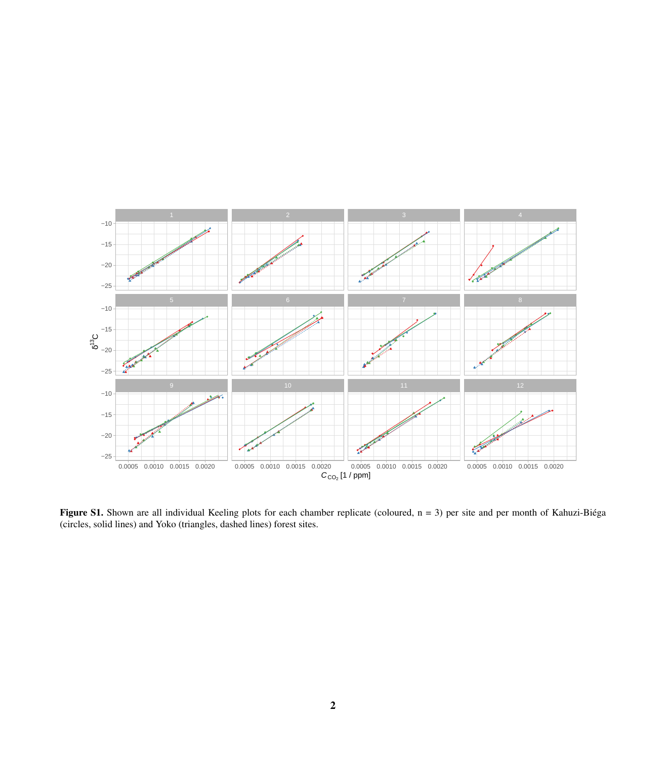

Figure S1. Shown are all individual Keeling plots for each chamber replicate (coloured, n = 3) per site and per month of Kahuzi-Biéga (circles, solid lines) and Yoko (triangles, dashed lines) forest sites.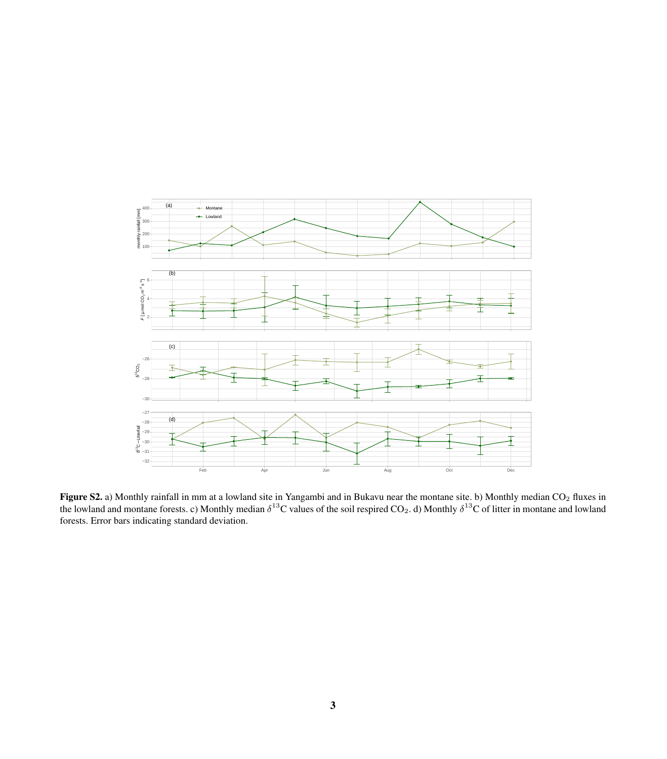

**Figure S2.** a) Monthly rainfall in mm at a lowland site in Yangambi and in Bukavu near the montane site. b) Monthly median  $CO_2$  fluxes in the lowland and montane forests. c) Monthly median  $\delta^{13}C$  values of the soil respired CO<sub>2</sub>. d) Monthly  $\delta^{13}C$  of litter in montane and lowland forests. Error bars indicating standard deviation.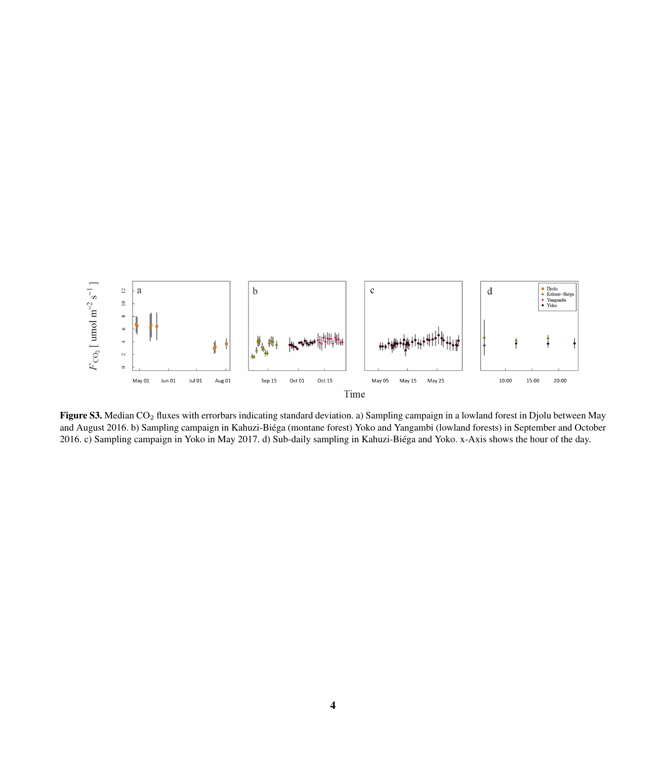

Figure S3. Median CO<sub>2</sub> fluxes with errorbars indicating standard deviation. a) Sampling campaign in a lowland forest in Djolu between May and August 2016. b) Sampling campaign in Kahuzi-Biéga (montane forest) Yoko and Yangambi (lowland forests) in September and October 2016. c) Sampling campaign in Yoko in May 2017. d) Sub-daily sampling in Kahuzi-Biéga and Yoko. x-Axis shows the hour of the day.